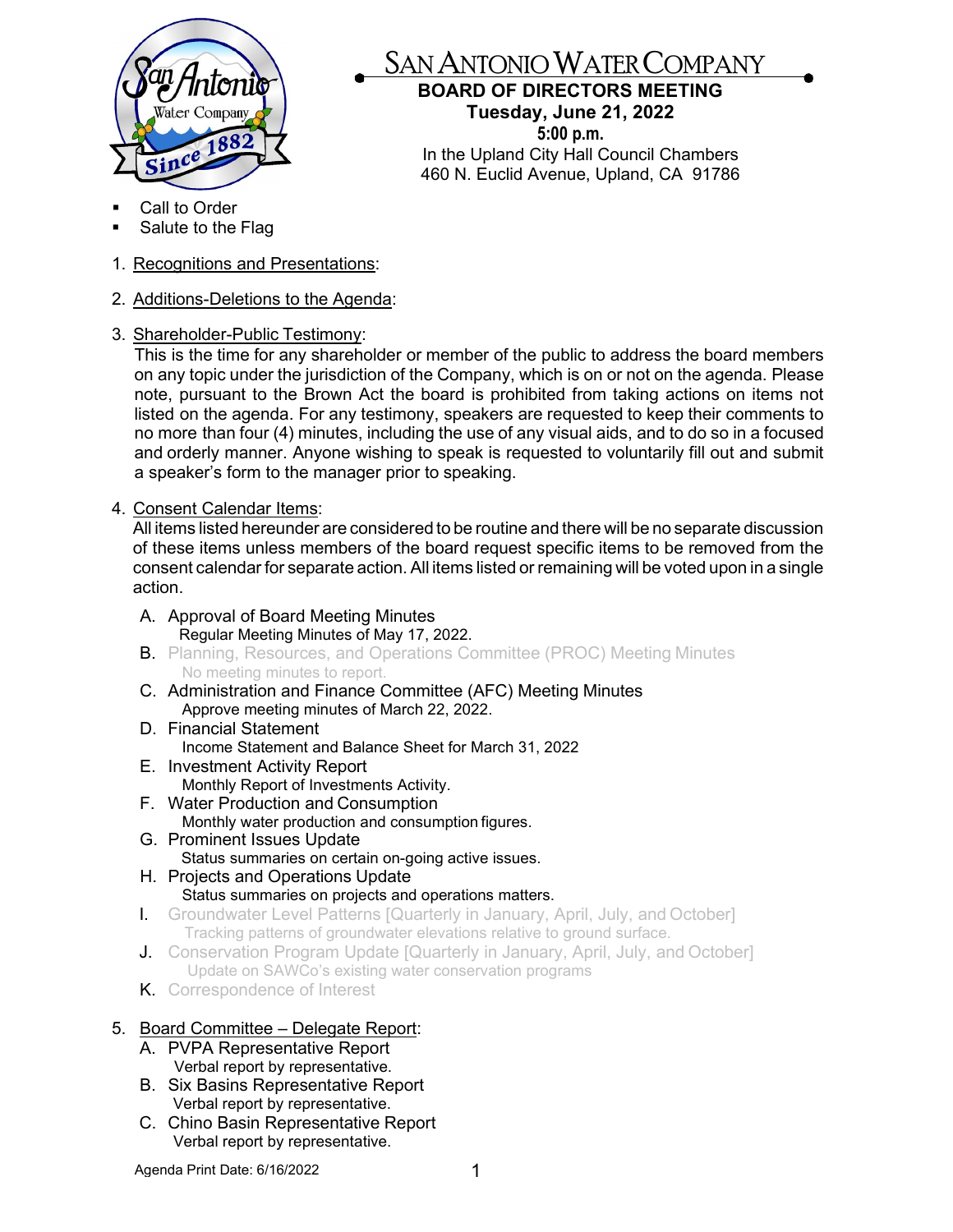

## SAN ANTONIO WATER COMPANY

## **BOARD OF DIRECTORS MEETING Tuesday, June 21, 2022**

**5:00 p.m.** In the Upland City Hall Council Chambers 460 N. Euclid Avenue, Upland, CA 91786

- Call to Order
- Salute to the Flag
- 1. Recognitions and Presentations:
- 2. Additions-Deletions to the Agenda:
- 3. Shareholder-Public Testimony:

This is the time for any shareholder or member of the public to address the board members on any topic under the jurisdiction of the Company, which is on or not on the agenda. Please note, pursuant to the Brown Act the board is prohibited from taking actions on items not listed on the agenda. For any testimony, speakers are requested to keep their comments to no more than four (4) minutes, including the use of any visual aids, and to do so in a focused and orderly manner. Anyone wishing to speak is requested to voluntarily fill out and submit a speaker's form to the manager prior to speaking.

4. Consent Calendar Items:

All items listed hereunder are considered to be routine and there will be no separate discussion of these items unless members of the board request specific items to be removed from the consent calendar for separate action. All items listed or remaining will be voted upon in a single action.

- A. Approval of Board Meeting Minutes Regular Meeting Minutes of May 17, 2022.
- **B.** Planning, Resources, and Operations Committee (PROC) Meeting Minutes No meeting minutes to report.
- C. Administration and Finance Committee (AFC) Meeting Minutes Approve meeting minutes of March 22, 2022.
- D. Financial Statement Income Statement and Balance Sheet for March 31, 2022
- E. Investment Activity Report Monthly Report of Investments Activity.
- F. Water Production and Consumption Monthly water production and consumption figures.
- G. Prominent Issues Update Status summaries on certain on-going active issues.
- H. Projects and Operations Update Status summaries on projects and operations matters.
- I. Groundwater Level Patterns [Quarterly in January, April, July, and October] Tracking patterns of groundwater elevations relative to ground surface.
- **J.** Conservation Program Update [Quarterly in January, April, July, and October] Update on SAWCo's existing water conservation programs
- K. Correspondence of Interest

## 5. Board Committee – Delegate Report:

- A. PVPA Representative Report Verbal report by representative.
- B. Six Basins Representative Report Verbal report by representative.
- C. Chino Basin Representative Report Verbal report by representative.